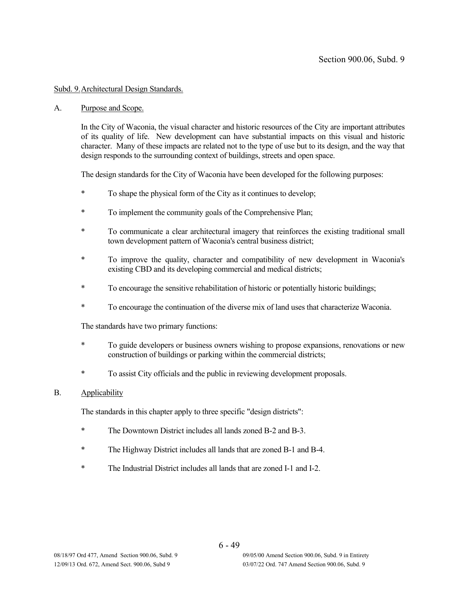## Subd. 9.Architectural Design Standards.

#### A. Purpose and Scope.

In the City of Waconia, the visual character and historic resources of the City are important attributes of its quality of life. New development can have substantial impacts on this visual and historic character. Many of these impacts are related not to the type of use but to its design, and the way that design responds to the surrounding context of buildings, streets and open space.

The design standards for the City of Waconia have been developed for the following purposes:

- To shape the physical form of the City as it continues to develop;
- To implement the community goals of the Comprehensive Plan;
- \* To communicate a clear architectural imagery that reinforces the existing traditional small town development pattern of Waconia's central business district;
- \* To improve the quality, character and compatibility of new development in Waconia's existing CBD and its developing commercial and medical districts;
- \* To encourage the sensitive rehabilitation of historic or potentially historic buildings;
- \* To encourage the continuation of the diverse mix of land uses that characterize Waconia.

The standards have two primary functions:

- \* To guide developers or business owners wishing to propose expansions, renovations or new construction of buildings or parking within the commercial districts;
- \* To assist City officials and the public in reviewing development proposals.

### B. Applicability

The standards in this chapter apply to three specific "design districts":

- \* The Downtown District includes all lands zoned B-2 and B-3.
- \* The Highway District includes all lands that are zoned B-1 and B-4.
- \* The Industrial District includes all lands that are zoned I-1 and I-2.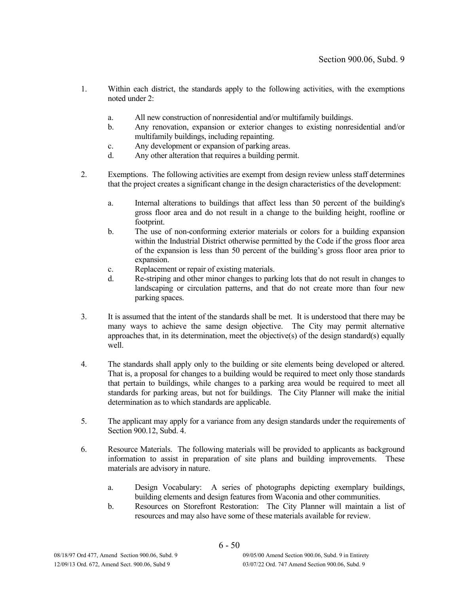- 1. Within each district, the standards apply to the following activities, with the exemptions noted under 2:
	- a. All new construction of nonresidential and/or multifamily buildings.
	- b. Any renovation, expansion or exterior changes to existing nonresidential and/or multifamily buildings, including repainting.
	- c. Any development or expansion of parking areas.
	- d. Any other alteration that requires a building permit.
- 2. Exemptions. The following activities are exempt from design review unless staff determines that the project creates a significant change in the design characteristics of the development:
	- a. Internal alterations to buildings that affect less than 50 percent of the building's gross floor area and do not result in a change to the building height, roofline or footprint.
	- b. The use of non-conforming exterior materials or colors for a building expansion within the Industrial District otherwise permitted by the Code if the gross floor area of the expansion is less than 50 percent of the building's gross floor area prior to expansion.
	- c. Replacement or repair of existing materials.
	- d. Re-striping and other minor changes to parking lots that do not result in changes to landscaping or circulation patterns, and that do not create more than four new parking spaces.
- 3. It is assumed that the intent of the standards shall be met. It is understood that there may be many ways to achieve the same design objective. The City may permit alternative approaches that, in its determination, meet the objective(s) of the design standard(s) equally well.
- 4. The standards shall apply only to the building or site elements being developed or altered. That is, a proposal for changes to a building would be required to meet only those standards that pertain to buildings, while changes to a parking area would be required to meet all standards for parking areas, but not for buildings. The City Planner will make the initial determination as to which standards are applicable.
- 5. The applicant may apply for a variance from any design standards under the requirements of Section 900.12, Subd. 4.
- 6. Resource Materials. The following materials will be provided to applicants as background information to assist in preparation of site plans and building improvements. These materials are advisory in nature.
	- a. Design Vocabulary: A series of photographs depicting exemplary buildings, building elements and design features from Waconia and other communities.
	- b. Resources on Storefront Restoration: The City Planner will maintain a list of resources and may also have some of these materials available for review.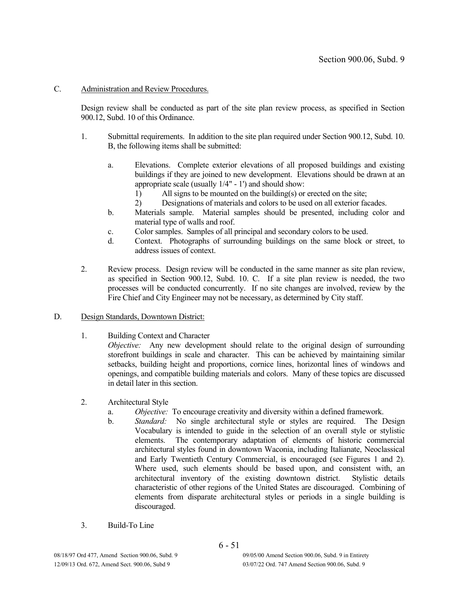## C. Administration and Review Procedures.

Design review shall be conducted as part of the site plan review process, as specified in Section 900.12, Subd. 10 of this Ordinance.

- 1. Submittal requirements. In addition to the site plan required under Section 900.12, Subd. 10. B, the following items shall be submitted:
	- a. Elevations. Complete exterior elevations of all proposed buildings and existing buildings if they are joined to new development. Elevations should be drawn at an appropriate scale (usually 1/4" - 1') and should show:
		- 1) All signs to be mounted on the building(s) or erected on the site;
		- 2) Designations of materials and colors to be used on all exterior facades.
	- b. Materials sample. Material samples should be presented, including color and material type of walls and roof.
	- c. Color samples. Samples of all principal and secondary colors to be used.
	- d. Context. Photographs of surrounding buildings on the same block or street, to address issues of context.
- 2. Review process. Design review will be conducted in the same manner as site plan review, as specified in Section 900.12, Subd. 10. C. If a site plan review is needed, the two processes will be conducted concurrently. If no site changes are involved, review by the Fire Chief and City Engineer may not be necessary, as determined by City staff.
- D. Design Standards, Downtown District:
	- 1. Building Context and Character

*Objective:* Any new development should relate to the original design of surrounding storefront buildings in scale and character. This can be achieved by maintaining similar setbacks, building height and proportions, cornice lines, horizontal lines of windows and openings, and compatible building materials and colors. Many of these topics are discussed in detail later in this section.

- 2. Architectural Style
	- a. *Objective:* To encourage creativity and diversity within a defined framework.
	- b. *Standard:* No single architectural style or styles are required. The Design Vocabulary is intended to guide in the selection of an overall style or stylistic elements. The contemporary adaptation of elements of historic commercial architectural styles found in downtown Waconia, including Italianate, Neoclassical and Early Twentieth Century Commercial, is encouraged (see Figures 1 and 2). Where used, such elements should be based upon, and consistent with, an architectural inventory of the existing downtown district. Stylistic details characteristic of other regions of the United States are discouraged. Combining of elements from disparate architectural styles or periods in a single building is discouraged.
- 3. Build-To Line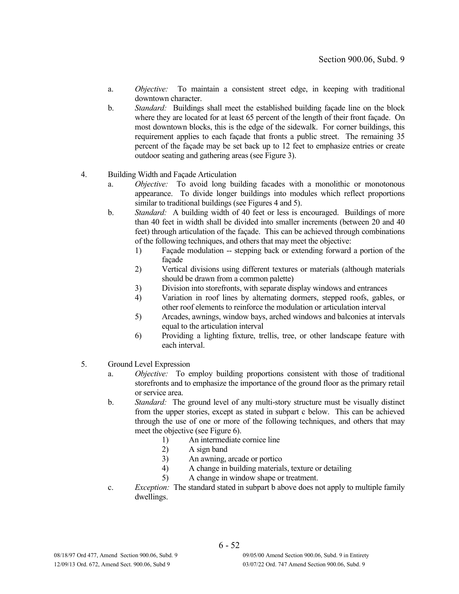- a. *Objective:* To maintain a consistent street edge, in keeping with traditional downtown character.
- b. *Standard:* Buildings shall meet the established building façade line on the block where they are located for at least 65 percent of the length of their front façade. On most downtown blocks, this is the edge of the sidewalk. For corner buildings, this requirement applies to each façade that fronts a public street. The remaining 35 percent of the façade may be set back up to 12 feet to emphasize entries or create outdoor seating and gathering areas (see Figure 3).

## 4. Building Width and Façade Articulation

- a. *Objective:* To avoid long building facades with a monolithic or monotonous appearance. To divide longer buildings into modules which reflect proportions similar to traditional buildings (see Figures 4 and 5).
- b. *Standard:* A building width of 40 feet or less is encouraged. Buildings of more than 40 feet in width shall be divided into smaller increments (between 20 and 40 feet) through articulation of the façade. This can be achieved through combinations of the following techniques, and others that may meet the objective:
	- 1) Façade modulation -- stepping back or extending forward a portion of the façade
	- 2) Vertical divisions using different textures or materials (although materials should be drawn from a common palette)
	- 3) Division into storefronts, with separate display windows and entrances
	- 4) Variation in roof lines by alternating dormers, stepped roofs, gables, or other roof elements to reinforce the modulation or articulation interval
	- 5) Arcades, awnings, window bays, arched windows and balconies at intervals equal to the articulation interval
	- 6) Providing a lighting fixture, trellis, tree, or other landscape feature with each interval.
- 5. Ground Level Expression
	- a. *Objective:* To employ building proportions consistent with those of traditional storefronts and to emphasize the importance of the ground floor as the primary retail or service area.
	- b. *Standard:* The ground level of any multi-story structure must be visually distinct from the upper stories, except as stated in subpart c below. This can be achieved through the use of one or more of the following techniques, and others that may meet the objective (see Figure 6).
		- 1) An intermediate cornice line
		- 2) A sign band
		- 3) An awning, arcade or portico
		- 4) A change in building materials, texture or detailing
		- 5) A change in window shape or treatment.
	- c. *Exception:* The standard stated in subpart b above does not apply to multiple family dwellings.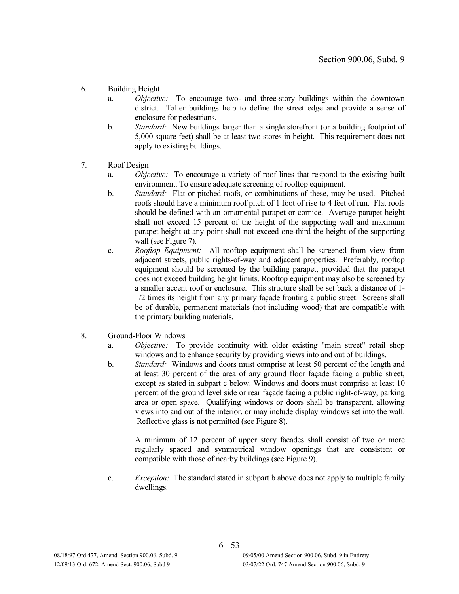- 6. Building Height
	- a. *Objective:* To encourage two- and three-story buildings within the downtown district. Taller buildings help to define the street edge and provide a sense of enclosure for pedestrians.
	- b. *Standard:* New buildings larger than a single storefront (or a building footprint of 5,000 square feet) shall be at least two stores in height. This requirement does not apply to existing buildings.
- 7. Roof Design
	- a. *Objective:* To encourage a variety of roof lines that respond to the existing built environment. To ensure adequate screening of rooftop equipment.
	- b. *Standard:* Flat or pitched roofs, or combinations of these, may be used. Pitched roofs should have a minimum roof pitch of 1 foot of rise to 4 feet of run. Flat roofs should be defined with an ornamental parapet or cornice. Average parapet height shall not exceed 15 percent of the height of the supporting wall and maximum parapet height at any point shall not exceed one-third the height of the supporting wall (see Figure 7).
	- c. *Rooftop Equipment:* All rooftop equipment shall be screened from view from adjacent streets, public rights-of-way and adjacent properties. Preferably, rooftop equipment should be screened by the building parapet, provided that the parapet does not exceed building height limits. Rooftop equipment may also be screened by a smaller accent roof or enclosure. This structure shall be set back a distance of 1- 1/2 times its height from any primary façade fronting a public street. Screens shall be of durable, permanent materials (not including wood) that are compatible with the primary building materials.
- 8. Ground-Floor Windows
	- a. *Objective:* To provide continuity with older existing "main street" retail shop windows and to enhance security by providing views into and out of buildings.
	- b. *Standard:* Windows and doors must comprise at least 50 percent of the length and at least 30 percent of the area of any ground floor façade facing a public street, except as stated in subpart c below. Windows and doors must comprise at least 10 percent of the ground level side or rear façade facing a public right-of-way, parking area or open space. Qualifying windows or doors shall be transparent, allowing views into and out of the interior, or may include display windows set into the wall. Reflective glass is not permitted (see Figure 8).

A minimum of 12 percent of upper story facades shall consist of two or more regularly spaced and symmetrical window openings that are consistent or compatible with those of nearby buildings (see Figure 9).

c. *Exception:* The standard stated in subpart b above does not apply to multiple family dwellings.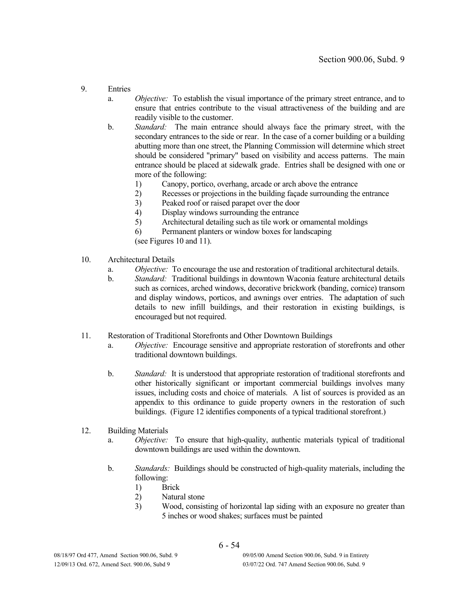- 9. Entries
	- a. *Objective:* To establish the visual importance of the primary street entrance, and to ensure that entries contribute to the visual attractiveness of the building and are readily visible to the customer.
	- b. *Standard:* The main entrance should always face the primary street, with the secondary entrances to the side or rear. In the case of a corner building or a building abutting more than one street, the Planning Commission will determine which street should be considered "primary" based on visibility and access patterns. The main entrance should be placed at sidewalk grade. Entries shall be designed with one or more of the following:
		- 1) Canopy, portico, overhang, arcade or arch above the entrance
		- 2) Recesses or projections in the building façade surrounding the entrance
		- 3) Peaked roof or raised parapet over the door
		- 4) Display windows surrounding the entrance
		- 5) Architectural detailing such as tile work or ornamental moldings
		- 6) Permanent planters or window boxes for landscaping

(see Figures 10 and 11).

- 10. Architectural Details
	- a. *Objective:* To encourage the use and restoration of traditional architectural details.
	- b. *Standard:* Traditional buildings in downtown Waconia feature architectural details such as cornices, arched windows, decorative brickwork (banding, cornice) transom and display windows, porticos, and awnings over entries. The adaptation of such details to new infill buildings, and their restoration in existing buildings, is encouraged but not required.
- 11. Restoration of Traditional Storefronts and Other Downtown Buildings
	- a. *Objective:* Encourage sensitive and appropriate restoration of storefronts and other traditional downtown buildings.
	- b. *Standard:* It is understood that appropriate restoration of traditional storefronts and other historically significant or important commercial buildings involves many issues, including costs and choice of materials. A list of sources is provided as an appendix to this ordinance to guide property owners in the restoration of such buildings. (Figure 12 identifies components of a typical traditional storefront.)

### 12. Building Materials

- a. *Objective:* To ensure that high-quality, authentic materials typical of traditional downtown buildings are used within the downtown.
- b. *Standards:* Buildings should be constructed of high-quality materials, including the following:
	- 1) Brick
	- 2) Natural stone
	- 3) Wood, consisting of horizontal lap siding with an exposure no greater than 5 inches or wood shakes; surfaces must be painted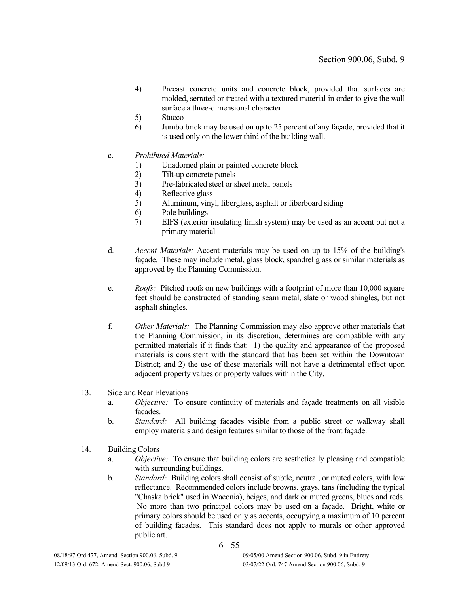- 4) Precast concrete units and concrete block, provided that surfaces are molded, serrated or treated with a textured material in order to give the wall surface a three-dimensional character
- 5) Stucco
- 6) Jumbo brick may be used on up to 25 percent of any façade, provided that it is used only on the lower third of the building wall.
- c. *Prohibited Materials:*
	- 1) Unadorned plain or painted concrete block
	- 2) Tilt-up concrete panels
	- 3) Pre-fabricated steel or sheet metal panels
	- 4) Reflective glass
	- 5) Aluminum, vinyl, fiberglass, asphalt or fiberboard siding
	- 6) Pole buildings
	- 7) EIFS (exterior insulating finish system) may be used as an accent but not a primary material
- d. *Accent Materials:* Accent materials may be used on up to 15% of the building's façade. These may include metal, glass block, spandrel glass or similar materials as approved by the Planning Commission.
- e. *Roofs:* Pitched roofs on new buildings with a footprint of more than 10,000 square feet should be constructed of standing seam metal, slate or wood shingles, but not asphalt shingles.
- f. *Other Materials:* The Planning Commission may also approve other materials that the Planning Commission, in its discretion, determines are compatible with any permitted materials if it finds that: 1) the quality and appearance of the proposed materials is consistent with the standard that has been set within the Downtown District; and 2) the use of these materials will not have a detrimental effect upon adjacent property values or property values within the City.

#### 13. Side and Rear Elevations

- a. *Objective:* To ensure continuity of materials and façade treatments on all visible facades.
- b. *Standard:* All building facades visible from a public street or walkway shall employ materials and design features similar to those of the front façade.
- 14. Building Colors
	- a. *Objective:* To ensure that building colors are aesthetically pleasing and compatible with surrounding buildings.
	- b. *Standard:* Building colors shall consist of subtle, neutral, or muted colors, with low reflectance. Recommended colors include browns, grays, tans (including the typical "Chaska brick" used in Waconia), beiges, and dark or muted greens, blues and reds. No more than two principal colors may be used on a façade. Bright, white or primary colors should be used only as accents, occupying a maximum of 10 percent of building facades. This standard does not apply to murals or other approved public art.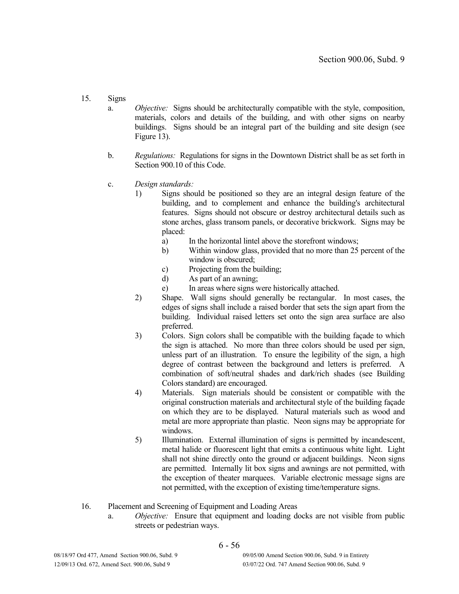- 15. Signs
	- a. *Objective:* Signs should be architecturally compatible with the style, composition, materials, colors and details of the building, and with other signs on nearby buildings. Signs should be an integral part of the building and site design (see Figure 13).
	- b. *Regulations:* Regulations for signs in the Downtown District shall be as set forth in Section 900.10 of this Code.
	- c. *Design standards:*
		- 1) Signs should be positioned so they are an integral design feature of the building, and to complement and enhance the building's architectural features. Signs should not obscure or destroy architectural details such as stone arches, glass transom panels, or decorative brickwork. Signs may be placed:
			- a) In the horizontal lintel above the storefront windows;
			- b) Within window glass, provided that no more than 25 percent of the window is obscured;
			- c) Projecting from the building;
			- d) As part of an awning;
			- e) In areas where signs were historically attached.
		- 2) Shape. Wall signs should generally be rectangular. In most cases, the edges of signs shall include a raised border that sets the sign apart from the building. Individual raised letters set onto the sign area surface are also preferred.
		- 3) Colors. Sign colors shall be compatible with the building façade to which the sign is attached. No more than three colors should be used per sign, unless part of an illustration. To ensure the legibility of the sign, a high degree of contrast between the background and letters is preferred. A combination of soft/neutral shades and dark/rich shades (see Building Colors standard) are encouraged.
		- 4) Materials. Sign materials should be consistent or compatible with the original construction materials and architectural style of the building façade on which they are to be displayed. Natural materials such as wood and metal are more appropriate than plastic. Neon signs may be appropriate for windows.
		- 5) Illumination. External illumination of signs is permitted by incandescent, metal halide or fluorescent light that emits a continuous white light. Light shall not shine directly onto the ground or adjacent buildings. Neon signs are permitted. Internally lit box signs and awnings are not permitted, with the exception of theater marquees. Variable electronic message signs are not permitted, with the exception of existing time/temperature signs.
- 16. Placement and Screening of Equipment and Loading Areas
	- a. *Objective:* Ensure that equipment and loading docks are not visible from public streets or pedestrian ways.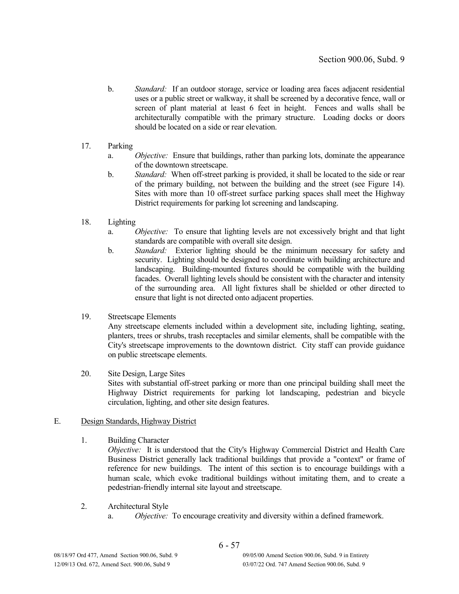- b. *Standard:* If an outdoor storage, service or loading area faces adjacent residential uses or a public street or walkway, it shall be screened by a decorative fence, wall or screen of plant material at least 6 feet in height. Fences and walls shall be architecturally compatible with the primary structure. Loading docks or doors should be located on a side or rear elevation.
- 17. Parking
	- a. *Objective:* Ensure that buildings, rather than parking lots, dominate the appearance of the downtown streetscape.
	- b. *Standard:* When off-street parking is provided, it shall be located to the side or rear of the primary building, not between the building and the street (see Figure 14). Sites with more than 10 off-street surface parking spaces shall meet the Highway District requirements for parking lot screening and landscaping.
- 18. Lighting
	- a. *Objective:* To ensure that lighting levels are not excessively bright and that light standards are compatible with overall site design.
	- b. *Standard:* Exterior lighting should be the minimum necessary for safety and security. Lighting should be designed to coordinate with building architecture and landscaping. Building-mounted fixtures should be compatible with the building facades. Overall lighting levels should be consistent with the character and intensity of the surrounding area. All light fixtures shall be shielded or other directed to ensure that light is not directed onto adjacent properties.
- 19. Streetscape Elements

Any streetscape elements included within a development site, including lighting, seating, planters, trees or shrubs, trash receptacles and similar elements, shall be compatible with the City's streetscape improvements to the downtown district. City staff can provide guidance on public streetscape elements.

20. Site Design, Large Sites

Sites with substantial off-street parking or more than one principal building shall meet the Highway District requirements for parking lot landscaping, pedestrian and bicycle circulation, lighting, and other site design features.

### E. Design Standards, Highway District

1. Building Character

*Objective:* It is understood that the City's Highway Commercial District and Health Care Business District generally lack traditional buildings that provide a "context" or frame of reference for new buildings. The intent of this section is to encourage buildings with a human scale, which evoke traditional buildings without imitating them, and to create a pedestrian-friendly internal site layout and streetscape.

- 2. Architectural Style
	- a. *Objective:* To encourage creativity and diversity within a defined framework.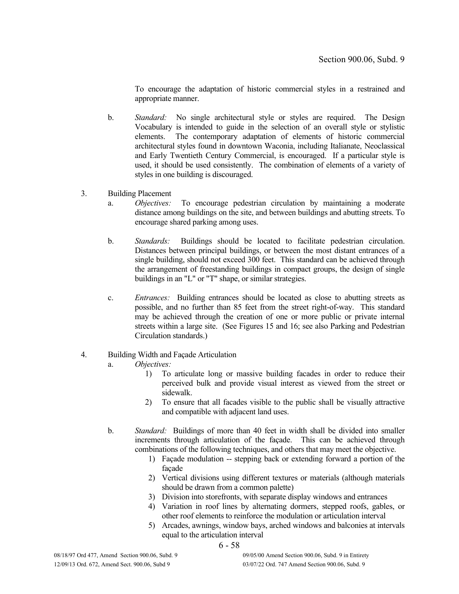To encourage the adaptation of historic commercial styles in a restrained and appropriate manner.

- b. *Standard:* No single architectural style or styles are required. The Design Vocabulary is intended to guide in the selection of an overall style or stylistic elements. The contemporary adaptation of elements of historic commercial architectural styles found in downtown Waconia, including Italianate, Neoclassical and Early Twentieth Century Commercial, is encouraged. If a particular style is used, it should be used consistently. The combination of elements of a variety of styles in one building is discouraged.
- 3. Building Placement
	- a. *Objectives:* To encourage pedestrian circulation by maintaining a moderate distance among buildings on the site, and between buildings and abutting streets. To encourage shared parking among uses.
	- b. *Standards:* Buildings should be located to facilitate pedestrian circulation. Distances between principal buildings, or between the most distant entrances of a single building, should not exceed 300 feet. This standard can be achieved through the arrangement of freestanding buildings in compact groups, the design of single buildings in an "L" or "T" shape, or similar strategies.
	- c. *Entrances:* Building entrances should be located as close to abutting streets as possible, and no further than 85 feet from the street right-of-way. This standard may be achieved through the creation of one or more public or private internal streets within a large site. (See Figures 15 and 16; see also Parking and Pedestrian Circulation standards.)

### 4. Building Width and Façade Articulation

- a. *Objectives:*
	- 1) To articulate long or massive building facades in order to reduce their perceived bulk and provide visual interest as viewed from the street or sidewalk.
	- 2) To ensure that all facades visible to the public shall be visually attractive and compatible with adjacent land uses.
- b. *Standard:* Buildings of more than 40 feet in width shall be divided into smaller increments through articulation of the façade. This can be achieved through combinations of the following techniques, and others that may meet the objective.
	- 1) Façade modulation -- stepping back or extending forward a portion of the façade
	- 2) Vertical divisions using different textures or materials (although materials should be drawn from a common palette)
	- 3) Division into storefronts, with separate display windows and entrances
	- 4) Variation in roof lines by alternating dormers, stepped roofs, gables, or other roof elements to reinforce the modulation or articulation interval
	- 5) Arcades, awnings, window bays, arched windows and balconies at intervals equal to the articulation interval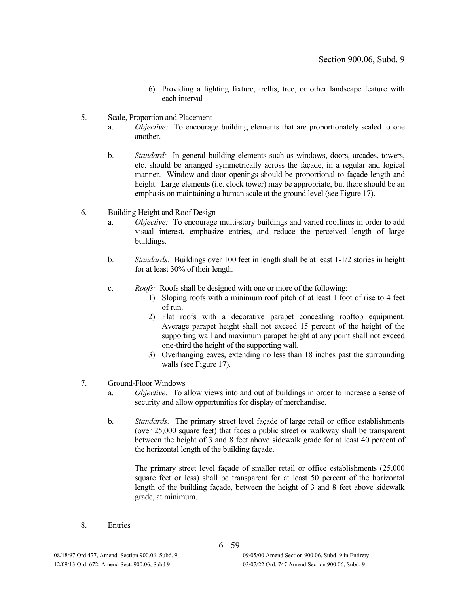- 6) Providing a lighting fixture, trellis, tree, or other landscape feature with each interval
- 5. Scale, Proportion and Placement
	- a. *Objective:* To encourage building elements that are proportionately scaled to one another.
	- b. *Standard:* In general building elements such as windows, doors, arcades, towers, etc. should be arranged symmetrically across the façade, in a regular and logical manner. Window and door openings should be proportional to façade length and height. Large elements (i.e. clock tower) may be appropriate, but there should be an emphasis on maintaining a human scale at the ground level (see Figure 17).
- 6. Building Height and Roof Design
	- a. *Objective:* To encourage multi-story buildings and varied rooflines in order to add visual interest, emphasize entries, and reduce the perceived length of large buildings.
	- b. *Standards:* Buildings over 100 feet in length shall be at least 1-1/2 stories in height for at least 30% of their length.
	- c. *Roofs:* Roofs shall be designed with one or more of the following:
		- 1) Sloping roofs with a minimum roof pitch of at least 1 foot of rise to 4 feet of run.
		- 2) Flat roofs with a decorative parapet concealing rooftop equipment. Average parapet height shall not exceed 15 percent of the height of the supporting wall and maximum parapet height at any point shall not exceed one-third the height of the supporting wall.
		- 3) Overhanging eaves, extending no less than 18 inches past the surrounding walls (see Figure 17).
- 7. Ground-Floor Windows
	- a. *Objective:* To allow views into and out of buildings in order to increase a sense of security and allow opportunities for display of merchandise.
	- b. *Standards:* The primary street level façade of large retail or office establishments (over 25,000 square feet) that faces a public street or walkway shall be transparent between the height of 3 and 8 feet above sidewalk grade for at least 40 percent of the horizontal length of the building façade.

The primary street level façade of smaller retail or office establishments (25,000 square feet or less) shall be transparent for at least 50 percent of the horizontal length of the building façade, between the height of 3 and 8 feet above sidewalk grade, at minimum.

8. Entries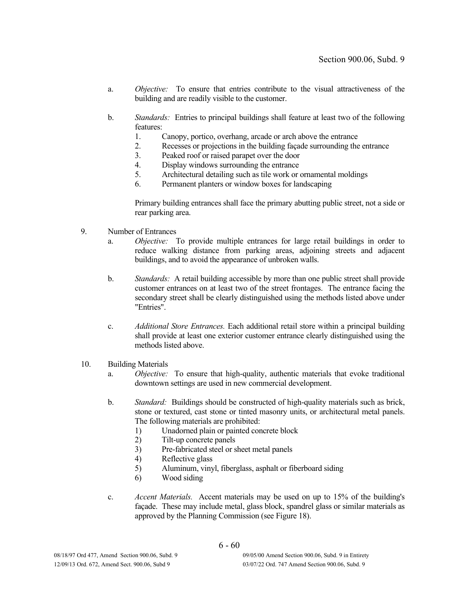- a. *Objective:* To ensure that entries contribute to the visual attractiveness of the building and are readily visible to the customer.
- b. *Standards:* Entries to principal buildings shall feature at least two of the following features:
	- 1. Canopy, portico, overhang, arcade or arch above the entrance
	- 2. Recesses or projections in the building façade surrounding the entrance
	- 3. Peaked roof or raised parapet over the door
	- 4. Display windows surrounding the entrance
	- 5. Architectural detailing such as tile work or ornamental moldings
	- 6. Permanent planters or window boxes for landscaping

Primary building entrances shall face the primary abutting public street, not a side or rear parking area.

- 9. Number of Entrances
	- a. *Objective:* To provide multiple entrances for large retail buildings in order to reduce walking distance from parking areas, adjoining streets and adjacent buildings, and to avoid the appearance of unbroken walls.
	- b. *Standards:* A retail building accessible by more than one public street shall provide customer entrances on at least two of the street frontages. The entrance facing the secondary street shall be clearly distinguished using the methods listed above under "Entries".
	- c. *Additional Store Entrances.* Each additional retail store within a principal building shall provide at least one exterior customer entrance clearly distinguished using the methods listed above.
- 10. Building Materials
	- a. *Objective:* To ensure that high-quality, authentic materials that evoke traditional downtown settings are used in new commercial development.
	- b. *Standard:* Buildings should be constructed of high-quality materials such as brick, stone or textured, cast stone or tinted masonry units, or architectural metal panels. The following materials are prohibited:
		- 1) Unadorned plain or painted concrete block
		- 2) Tilt-up concrete panels
		- 3) Pre-fabricated steel or sheet metal panels
		- 4) Reflective glass
		- 5) Aluminum, vinyl, fiberglass, asphalt or fiberboard siding
		- 6) Wood siding
	- c. *Accent Materials.* Accent materials may be used on up to 15% of the building's façade. These may include metal, glass block, spandrel glass or similar materials as approved by the Planning Commission (see Figure 18).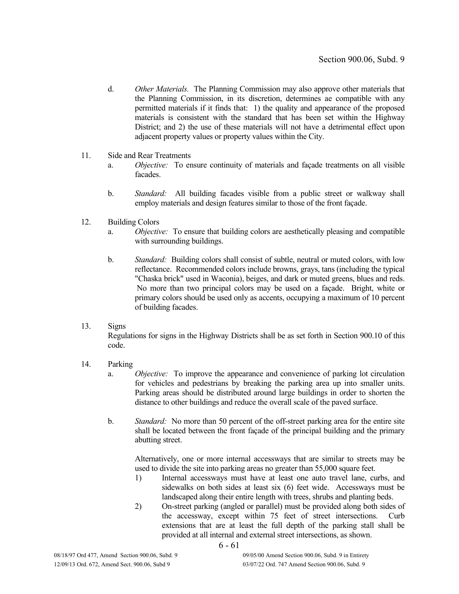- d. *Other Materials.* The Planning Commission may also approve other materials that the Planning Commission, in its discretion, determines ae compatible with any permitted materials if it finds that: 1) the quality and appearance of the proposed materials is consistent with the standard that has been set within the Highway District; and 2) the use of these materials will not have a detrimental effect upon adjacent property values or property values within the City.
- 11. Side and Rear Treatments
	- a. *Objective:* To ensure continuity of materials and façade treatments on all visible facades.
	- b. *Standard:* All building facades visible from a public street or walkway shall employ materials and design features similar to those of the front façade.

### 12. Building Colors

- a. *Objective:* To ensure that building colors are aesthetically pleasing and compatible with surrounding buildings.
- b. *Standard:* Building colors shall consist of subtle, neutral or muted colors, with low reflectance. Recommended colors include browns, grays, tans (including the typical "Chaska brick" used in Waconia), beiges, and dark or muted greens, blues and reds. No more than two principal colors may be used on a façade. Bright, white or primary colors should be used only as accents, occupying a maximum of 10 percent of building facades.

# 13. Signs

Regulations for signs in the Highway Districts shall be as set forth in Section 900.10 of this code.

- 14. Parking
	- a. *Objective:* To improve the appearance and convenience of parking lot circulation for vehicles and pedestrians by breaking the parking area up into smaller units. Parking areas should be distributed around large buildings in order to shorten the distance to other buildings and reduce the overall scale of the paved surface.
	- b. *Standard:* No more than 50 percent of the off-street parking area for the entire site shall be located between the front façade of the principal building and the primary abutting street.

Alternatively, one or more internal accessways that are similar to streets may be used to divide the site into parking areas no greater than 55,000 square feet.

- 1) Internal accessways must have at least one auto travel lane, curbs, and sidewalks on both sides at least six (6) feet wide. Accessways must be landscaped along their entire length with trees, shrubs and planting beds.
- 2) On-street parking (angled or parallel) must be provided along both sides of the accessway, except within 75 feet of street intersections. Curb extensions that are at least the full depth of the parking stall shall be provided at all internal and external street intersections, as shown.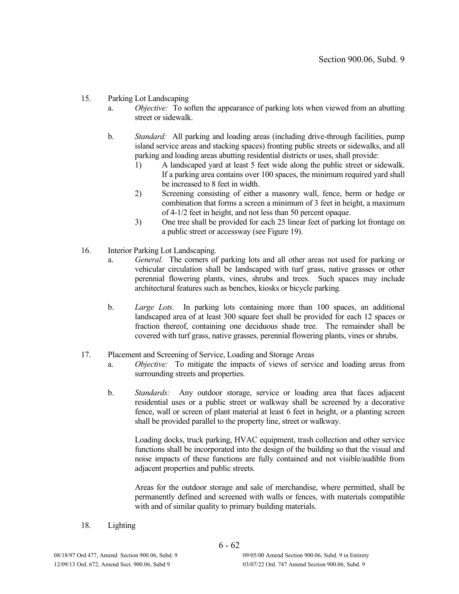## 15. Parking Lot Landscaping

- a. *Objective:* To soften the appearance of parking lots when viewed from an abutting street or sidewalk.
- b. *Standard:* All parking and loading areas (including drive-through facilities, pump island service areas and stacking spaces) fronting public streets or sidewalks, and all parking and loading areas abutting residential districts or uses, shall provide:
	- 1) A landscaped yard at least 5 feet wide along the public street or sidewalk. If a parking area contains over 100 spaces, the minimum required yard shall be increased to 8 feet in width.
	- 2) Screening consisting of either a masonry wall, fence, berm or hedge or combination that forms a screen a minimum of 3 feet in height, a maximum of 4-1/2 feet in height, and not less than 50 percent opaque.
	- 3) One tree shall be provided for each 25 linear feet of parking lot frontage on a public street or accessway (see Figure 19).
- 16. Interior Parking Lot Landscaping.
	- a. *General.* The corners of parking lots and all other areas not used for parking or vehicular circulation shall be landscaped with turf grass, native grasses or other perennial flowering plants, vines, shrubs and trees. Such spaces may include architectural features such as benches, kiosks or bicycle parking.
	- b. *Large Lots.* In parking lots containing more than 100 spaces, an additional landscaped area of at least 300 square feet shall be provided for each 12 spaces or fraction thereof, containing one deciduous shade tree. The remainder shall be covered with turf grass, native grasses, perennial flowering plants, vines or shrubs.

### 17. Placement and Screening of Service, Loading and Storage Areas

- a. *Objective:* To mitigate the impacts of views of service and loading areas from surrounding streets and properties.
- b. *Standards:* Any outdoor storage, service or loading area that faces adjacent residential uses or a public street or walkway shall be screened by a decorative fence, wall or screen of plant material at least 6 feet in height, or a planting screen shall be provided parallel to the property line, street or walkway.

Loading docks, truck parking, HVAC equipment, trash collection and other service functions shall be incorporated into the design of the building so that the visual and noise impacts of these functions are fully contained and not visible/audible from adjacent properties and public streets.

Areas for the outdoor storage and sale of merchandise, where permitted, shall be permanently defined and screened with walls or fences, with materials compatible with and of similar quality to primary building materials.

18. Lighting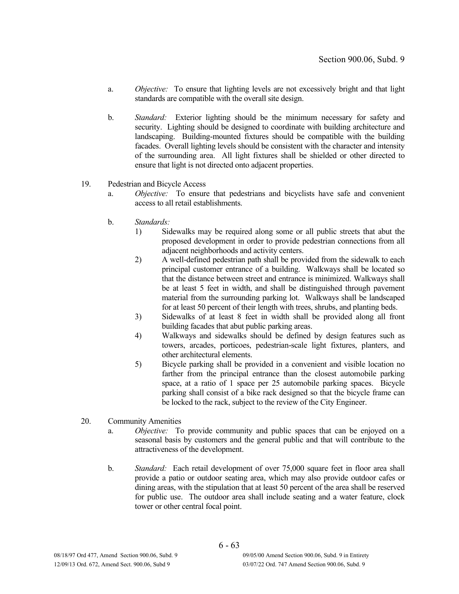- a. *Objective:* To ensure that lighting levels are not excessively bright and that light standards are compatible with the overall site design.
- b. *Standard:* Exterior lighting should be the minimum necessary for safety and security. Lighting should be designed to coordinate with building architecture and landscaping. Building-mounted fixtures should be compatible with the building facades. Overall lighting levels should be consistent with the character and intensity of the surrounding area. All light fixtures shall be shielded or other directed to ensure that light is not directed onto adjacent properties.

### 19. Pedestrian and Bicycle Access

- a. *Objective:* To ensure that pedestrians and bicyclists have safe and convenient access to all retail establishments.
- b. *Standards:*
	- 1) Sidewalks may be required along some or all public streets that abut the proposed development in order to provide pedestrian connections from all adjacent neighborhoods and activity centers.
	- 2) A well-defined pedestrian path shall be provided from the sidewalk to each principal customer entrance of a building. Walkways shall be located so that the distance between street and entrance is minimized. Walkways shall be at least 5 feet in width, and shall be distinguished through pavement material from the surrounding parking lot. Walkways shall be landscaped for at least 50 percent of their length with trees, shrubs, and planting beds.
	- 3) Sidewalks of at least 8 feet in width shall be provided along all front building facades that abut public parking areas.
	- 4) Walkways and sidewalks should be defined by design features such as towers, arcades, porticoes, pedestrian-scale light fixtures, planters, and other architectural elements.
	- 5) Bicycle parking shall be provided in a convenient and visible location no farther from the principal entrance than the closest automobile parking space, at a ratio of 1 space per 25 automobile parking spaces. Bicycle parking shall consist of a bike rack designed so that the bicycle frame can be locked to the rack, subject to the review of the City Engineer.
- 20. Community Amenities
	- a. *Objective:* To provide community and public spaces that can be enjoyed on a seasonal basis by customers and the general public and that will contribute to the attractiveness of the development.
	- b. *Standard:* Each retail development of over 75,000 square feet in floor area shall provide a patio or outdoor seating area, which may also provide outdoor cafes or dining areas, with the stipulation that at least 50 percent of the area shall be reserved for public use. The outdoor area shall include seating and a water feature, clock tower or other central focal point.